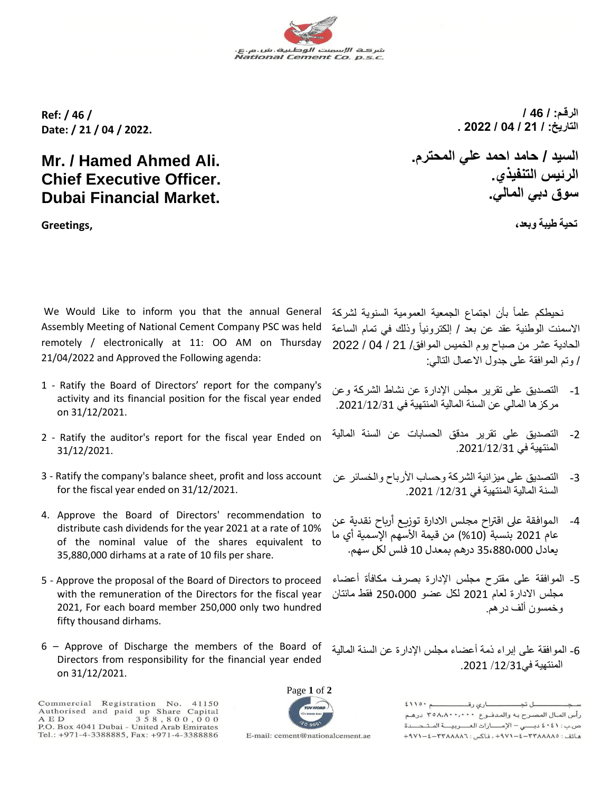**Ref: / 46 / Date: / 21 / 04 / 2022.** 

## **Mr. / Hamed Ahmed Ali. Chief Executive Officer. Dubai Financial Market.**

**Greetings,**

We Would Like to inform you that the annual General Assembly Meeting of National Cement Company PSC was held remotely / electronically at 11: OO AM on Thursday 21/04/2022 and Approved the Following agenda:

- 1 Ratify the Board of Directors' report for the company's activity and its financial position for the fiscal year ended on 31/12/2021.
- 2 Ratify the auditor's report for the fiscal year Ended on 31/12/2021.
- 3 Ratify the company's balance sheet, profit and loss account for the fiscal year ended on 31/12/2021.
- 4. Approve the Board of Directors' recommendation to distribute cash dividends for the year 2021 at a rate of 10% of the nominal value of the shares equivalent to 35,880,000 dirhams at a rate of 10 fils per share.
- 5 Approve the proposal of the Board of Directors to proceed with the remuneration of the Directors for the fiscal year 2021, For each board member 250,000 only two hundred fifty thousand dirhams.
- 6 Approve of Discharge the members of the Board of Directors from responsibility for the financial year ended on 31/12/2021.

Commercial Registration No. 41150<br>Authorised and paid up Share Capital<br>AED 358,800,000 P.O. Box 4041 Dubai - United Arab Emirates Tel.: +971-4-3388885, Fax: +971-4-3388886

E-mail: cement@nationalcement.ae

Page **1** of **2**

نحيطكم علماً بأن اجتماع الجمعية العمومية السنوية لشركة الاسمنت الوطنية عقد عن بعد / إلكترونياً وذلك في تمام الساعة الحادية عشر من صباح يوم الخميس الموافق/ 21 / 04 / 2022 / وتم الموافقة على جدول االعمال التالي:

- -1 التصديق على تقرير مجلس اإلدارة عن نشاط الشركة وعن مركزها المالي عن السنة المالية المنتهية في .2021/12/31
- -2 التصديق على تقرير مدقق الحسابات عن السنة المالية المنتهية في .2021/12/31
- 3- التصديق على ميز انية الشركة وحساب الأرباح والخسائر عن السنة المالية المنتهية في /12/31 .2021
- 4- الموافقة على اقتراح مجلس الادارة توزيع أرباح نقدية عن عام 2021 بنسبة (10%) من قيمة الأسهم الإسمية أي ما يعادل 35،880،000 درهم بمعدل 10 فلس لكل سهم.
- -5 الموافقة على مقترح مجلس اإلدارة بصرف مكافأة أعضاء مجلس االدارة لعام 2021 لكل عضو 250،000 فقط مائتان وخمسون ألف درهم.
- -6 الموافقة على إبراء ذمة أعضاء مجلس اإلدارة عن السنة المالية المنتهية في/12/31 .2021

 $2110 - 2$ ل تم رأس المبال المصبرج به والمدفنوع ٣٥٨،٨٠٠،٠٠٠ درهم ص.ب: ٤٠٤١ دبي - الإمارات العصريية المتحدة ٩٧١-٤-٢٣٨٨٨٨٨٦ + ٩٧١-٤-٢٩٧١ ، فاكس: ٣٢٨٨٨٨٨٦ - ٩٧١-٤

شر<del>د ف</del> الإسمنت الوطنية.<br>National Cement Co. p.s.c.

**الرقـم: / 46 / التاريخ: / 21 / 04 / 2022 .** 

**السيد / حامد احمد علي المحترم. الرئيس التنفيذي. سوق دبي المالي.**